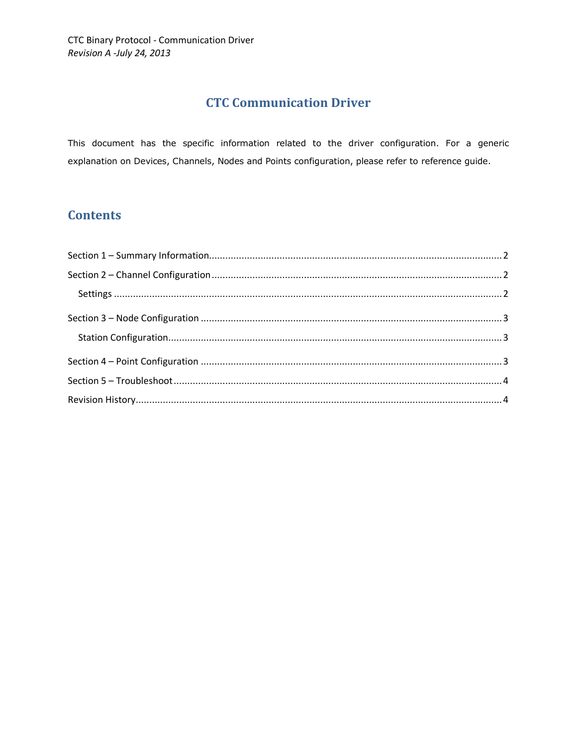# **CTC Communication Driver**

This document has the specific information related to the driver configuration. For a generic explanation on Devices, Channels, Nodes and Points configuration, please refer to reference guide.

# **Contents**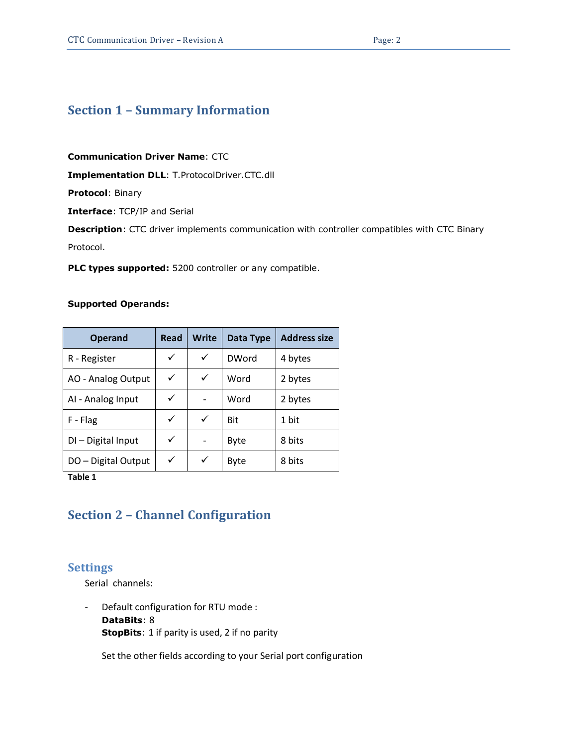## <span id="page-1-0"></span>**Section 1 – Summary Information**

**Communication Driver Name**: CTC

**Implementation DLL**: T.ProtocolDriver.CTC.dll

**Protocol**: Binary

**Interface**: TCP/IP and Serial

**Description**: CTC driver implements communication with controller compatibles with CTC Binary

Protocol.

**PLC types supported:** 5200 controller or any compatible.

#### **Supported Operands:**

| <b>Operand</b>      | Read | <b>Write</b> | Data Type    | <b>Address size</b> |
|---------------------|------|--------------|--------------|---------------------|
| R - Register        | ✓    | ✓            | <b>DWord</b> | 4 bytes             |
| AO - Analog Output  | ✓    | ✓            | Word         | 2 bytes             |
| AI - Analog Input   | ✓    |              | Word         | 2 bytes             |
| F - Flag            | ✓    | ✓            | <b>Bit</b>   | 1 bit               |
| DI-Digital Input    | ✓    |              | <b>Byte</b>  | 8 bits              |
| DO - Digital Output | ✓    | ✓            | Byte         | 8 bits              |

<span id="page-1-3"></span>**Table 1**

#### <span id="page-1-1"></span>**Section 2 – Channel Configuration**

#### <span id="page-1-2"></span>**Settings**

Serial channels:

- Default configuration for RTU mode : **DataBits**: 8 **StopBits**: 1 if parity is used, 2 if no parity

Set the other fields according to your Serial port configuration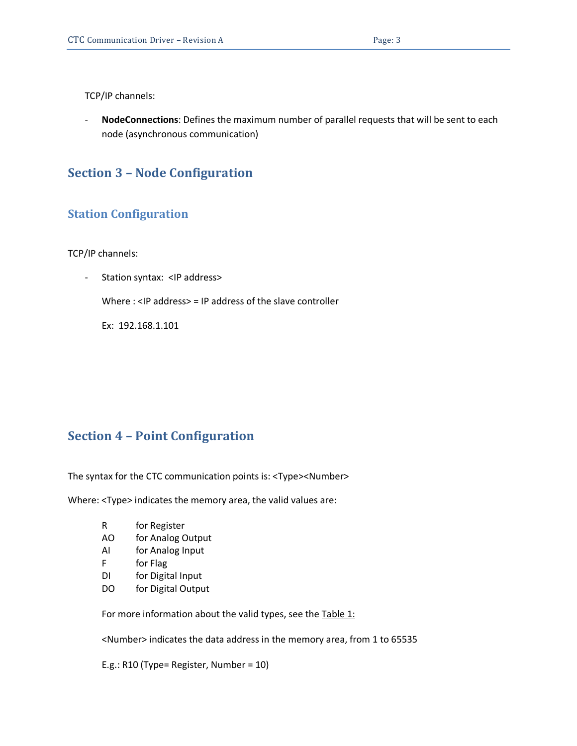TCP/IP channels:

- **NodeConnections**: Defines the maximum number of parallel requests that will be sent to each node (asynchronous communication)

### <span id="page-2-0"></span>**Section 3 – Node Configuration**

#### <span id="page-2-1"></span>**Station Configuration**

TCP/IP channels:

Station syntax: <IP address>

Where : <IP address> = IP address of the slave controller

Ex: 192.168.1.101

#### <span id="page-2-2"></span>**Section 4 – Point Configuration**

The syntax for the CTC communication points is: <Type><Number>

Where: <Type> indicates the memory area, the valid values are:

- R for Register
- AO for Analog Output
- AI for Analog Input
- F for Flag
- DI for Digital Input
- DO for Digital Output

For more information about the valid types, see the [Table 1:](#page-1-3)

<Number> indicates the data address in the memory area, from 1 to 65535

E.g.: R10 (Type= Register, Number = 10)